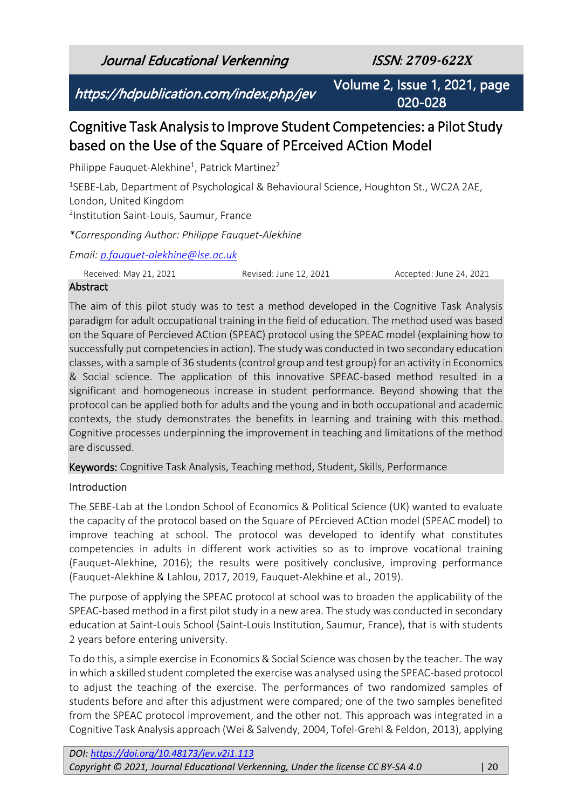Journal Educational Verkenning ISSN*: 2709-622X*

https://hdpublication.com/index.php/jev

Volume 2, Issue 1, 2021, page 020-028

# Cognitive Task Analysis to Improve Student Competencies: a Pilot Study based on the Use of the Square of PErceived ACtion Model

Philippe Fauquet-Alekhine<sup>1</sup>, Patrick Martinez<sup>2</sup>

<sup>1</sup>SEBE-Lab, Department of Psychological & Behavioural Science, Houghton St., WC2A 2AE, London, United Kingdom 2 Institution Saint-Louis, Saumur, France

*\*Corresponding Author: Philippe Fauquet-Alekhine*

*Email: [p.fauquet-alekhine@lse.ac.uk](mailto:p.fauquet-alekhine@lse.ac.uk)*

Received: May 21, 2021 Revised: June 12, 2021 Accepted: June 24, 2021

### Abstract

The aim of this pilot study was to test a method developed in the Cognitive Task Analysis paradigm for adult occupational training in the field of education. The method used was based on the Square of Percieved ACtion (SPEAC) protocol using the SPEAC model (explaining how to successfully put competencies in action). The study was conducted in two secondary education classes, with a sample of 36 students (control group and test group) for an activity in Economics & Social science. The application of this innovative SPEAC-based method resulted in a significant and homogeneous increase in student performance. Beyond showing that the protocol can be applied both for adults and the young and in both occupational and academic contexts, the study demonstrates the benefits in learning and training with this method. Cognitive processes underpinning the improvement in teaching and limitations of the method are discussed.

Keywords: Cognitive Task Analysis, Teaching method, Student, Skills, Performance

## Introduction

The SEBE-Lab at the London School of Economics & Political Science (UK) wanted to evaluate the capacity of the protocol based on the Square of PErcieved ACtion model (SPEAC model) to improve teaching at school. The protocol was developed to identify what constitutes competencies in adults in different work activities so as to improve vocational training (Fauquet-Alekhine, 2016); the results were positively conclusive, improving performance (Fauquet-Alekhine & Lahlou, 2017, 2019, Fauquet-Alekhine et al., 2019).

The purpose of applying the SPEAC protocol at school was to broaden the applicability of the SPEAC-based method in a first pilot study in a new area. The study was conducted in secondary education at Saint-Louis School (Saint-Louis Institution, Saumur, France), that is with students 2 years before entering university.

To do this, a simple exercise in Economics & Social Science was chosen by the teacher. The way in which a skilled student completed the exercise was analysed using the SPEAC-based protocol to adjust the teaching of the exercise. The performances of two randomized samples of students before and after this adjustment were compared; one of the two samples benefited from the SPEAC protocol improvement, and the other not. This approach was integrated in a Cognitive Task Analysis approach (Wei & Salvendy, 2004, Tofel-Grehl & Feldon, 2013), applying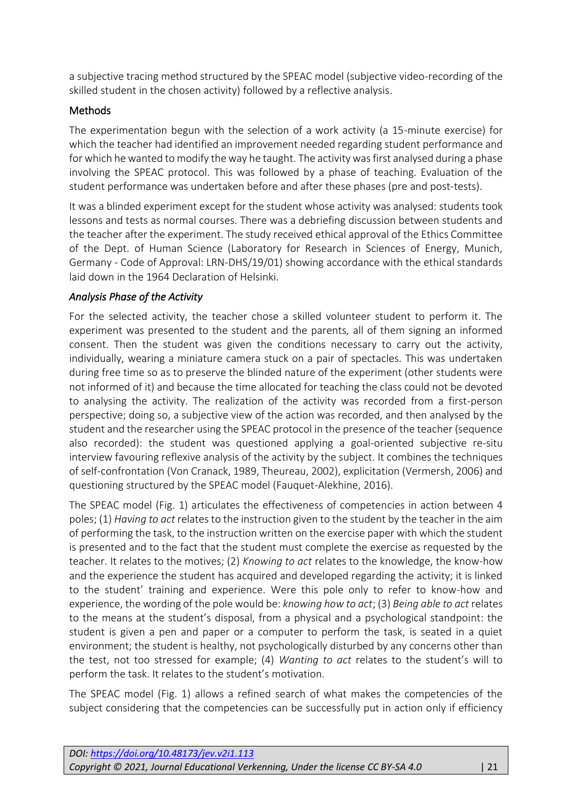a subjective tracing method structured by the SPEAC model (subjective video-recording of the skilled student in the chosen activity) followed by a reflective analysis.

# **Methods**

The experimentation begun with the selection of a work activity (a 15-minute exercise) for which the teacher had identified an improvement needed regarding student performance and for which he wanted to modify the way he taught. The activity was first analysed during a phase involving the SPEAC protocol. This was followed by a phase of teaching. Evaluation of the student performance was undertaken before and after these phases (pre and post-tests).

It was a blinded experiment except for the student whose activity was analysed: students took lessons and tests as normal courses. There was a debriefing discussion between students and the teacher after the experiment. The study received ethical approval of the Ethics Committee of the Dept. of Human Science (Laboratory for Research in Sciences of Energy, Munich, Germany - Code of Approval: LRN-DHS/19/01) showing accordance with the ethical standards laid down in the 1964 Declaration of Helsinki.

# *Analysis Phase of the Activity*

For the selected activity, the teacher chose a skilled volunteer student to perform it. The experiment was presented to the student and the parents, all of them signing an informed consent. Then the student was given the conditions necessary to carry out the activity, individually, wearing a miniature camera stuck on a pair of spectacles. This was undertaken during free time so as to preserve the blinded nature of the experiment (other students were not informed of it) and because the time allocated for teaching the class could not be devoted to analysing the activity. The realization of the activity was recorded from a first-person perspective; doing so, a subjective view of the action was recorded, and then analysed by the student and the researcher using the SPEAC protocol in the presence of the teacher (sequence also recorded): the student was questioned applying a goal-oriented subjective re-situ interview favouring reflexive analysis of the activity by the subject. It combines the techniques of self-confrontation (Von Cranack, 1989, Theureau, 2002), explicitation (Vermersh, 2006) and questioning structured by the SPEAC model (Fauquet-Alekhine, 2016).

The SPEAC model (Fig. 1) articulates the effectiveness of competencies in action between 4 poles; (1) *Having to act* relates to the instruction given to the student by the teacher in the aim of performing the task, to the instruction written on the exercise paper with which the student is presented and to the fact that the student must complete the exercise as requested by the teacher. It relates to the motives; (2) *Knowing to act* relates to the knowledge, the know-how and the experience the student has acquired and developed regarding the activity; it is linked to the student' training and experience. Were this pole only to refer to know-how and experience, the wording of the pole would be: *knowing how to act*; (3) *Being able to act* relates to the means at the student's disposal, from a physical and a psychological standpoint: the student is given a pen and paper or a computer to perform the task, is seated in a quiet environment; the student is healthy, not psychologically disturbed by any concerns other than the test, not too stressed for example; (4) *Wanting to act* relates to the student's will to perform the task. It relates to the student's motivation.

The SPEAC model (Fig. 1) allows a refined search of what makes the competencies of the subject considering that the competencies can be successfully put in action only if efficiency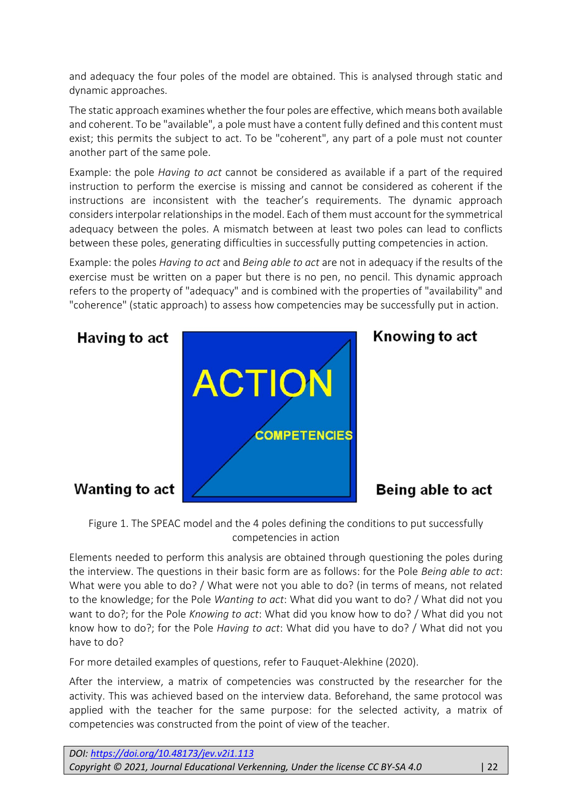and adequacy the four poles of the model are obtained. This is analysed through static and dynamic approaches.

The static approach examines whether the four poles are effective, which means both available and coherent. To be "available", a pole must have a content fully defined and this content must exist; this permits the subject to act. To be "coherent", any part of a pole must not counter another part of the same pole.

Example: the pole *Having to act* cannot be considered as available if a part of the required instruction to perform the exercise is missing and cannot be considered as coherent if the instructions are inconsistent with the teacher's requirements. The dynamic approach considers interpolar relationships in the model. Each of them must account for the symmetrical adequacy between the poles. A mismatch between at least two poles can lead to conflicts between these poles, generating difficulties in successfully putting competencies in action.

Example: the poles *Having to act* and *Being able to act* are not in adequacy if the results of the exercise must be written on a paper but there is no pen, no pencil. This dynamic approach refers to the property of "adequacy" and is combined with the properties of "availability" and "coherence" (static approach) to assess how competencies may be successfully put in action.



Figure 1. The SPEAC model and the 4 poles defining the conditions to put successfully competencies in action

Elements needed to perform this analysis are obtained through questioning the poles during the interview. The questions in their basic form are as follows: for the Pole *Being able to act*: What were you able to do? / What were not you able to do? (in terms of means, not related to the knowledge; for the Pole *Wanting to act*: What did you want to do? / What did not you want to do?; for the Pole *Knowing to act*: What did you know how to do? / What did you not know how to do?; for the Pole *Having to act*: What did you have to do? / What did not you have to do?

For more detailed examples of questions, refer to Fauquet-Alekhine (2020).

After the interview, a matrix of competencies was constructed by the researcher for the activity. This was achieved based on the interview data. Beforehand, the same protocol was applied with the teacher for the same purpose: for the selected activity, a matrix of competencies was constructed from the point of view of the teacher.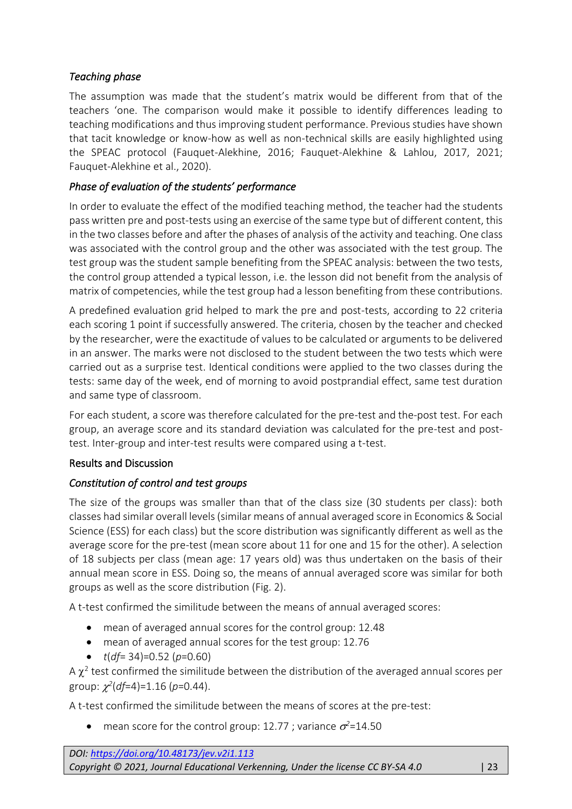# *Teaching phase*

The assumption was made that the student's matrix would be different from that of the teachers 'one. The comparison would make it possible to identify differences leading to teaching modifications and thus improving student performance. Previous studies have shown that tacit knowledge or know-how as well as non-technical skills are easily highlighted using the SPEAC protocol (Fauquet-Alekhine, 2016; Fauquet-Alekhine & Lahlou, 2017, 2021; Fauquet-Alekhine et al., 2020).

### *Phase of evaluation of the students' performance*

In order to evaluate the effect of the modified teaching method, the teacher had the students pass written pre and post-tests using an exercise of the same type but of different content, this in the two classes before and after the phases of analysis of the activity and teaching. One class was associated with the control group and the other was associated with the test group. The test group was the student sample benefiting from the SPEAC analysis: between the two tests, the control group attended a typical lesson, i.e. the lesson did not benefit from the analysis of matrix of competencies, while the test group had a lesson benefiting from these contributions.

A predefined evaluation grid helped to mark the pre and post-tests, according to 22 criteria each scoring 1 point if successfully answered. The criteria, chosen by the teacher and checked by the researcher, were the exactitude of values to be calculated or arguments to be delivered in an answer. The marks were not disclosed to the student between the two tests which were carried out as a surprise test. Identical conditions were applied to the two classes during the tests: same day of the week, end of morning to avoid postprandial effect, same test duration and same type of classroom.

For each student, a score was therefore calculated for the pre-test and the-post test. For each group, an average score and its standard deviation was calculated for the pre-test and posttest. Inter-group and inter-test results were compared using a t-test.

### Results and Discussion

## *Constitution of control and test groups*

The size of the groups was smaller than that of the class size (30 students per class): both classes had similar overall levels (similar means of annual averaged score in Economics & Social Science (ESS) for each class) but the score distribution was significantly different as well as the average score for the pre-test (mean score about 11 for one and 15 for the other). A selection of 18 subjects per class (mean age: 17 years old) was thus undertaken on the basis of their annual mean score in ESS. Doing so, the means of annual averaged score was similar for both groups as well as the score distribution (Fig. 2).

A t-test confirmed the similitude between the means of annual averaged scores:

- mean of averaged annual scores for the control group: 12.48
- mean of averaged annual scores for the test group: 12.76
- *t*(*df*= 34)=0.52 (*p*=0.60)

A  $\chi^2$  test confirmed the similitude between the distribution of the averaged annual scores per group: *2* (*df*=4)=1.16 (*p*=0.44).

A t-test confirmed the similitude between the means of scores at the pre-test:

• mean score for the control group: 12.77 ; variance  $\sigma^2$ =14.50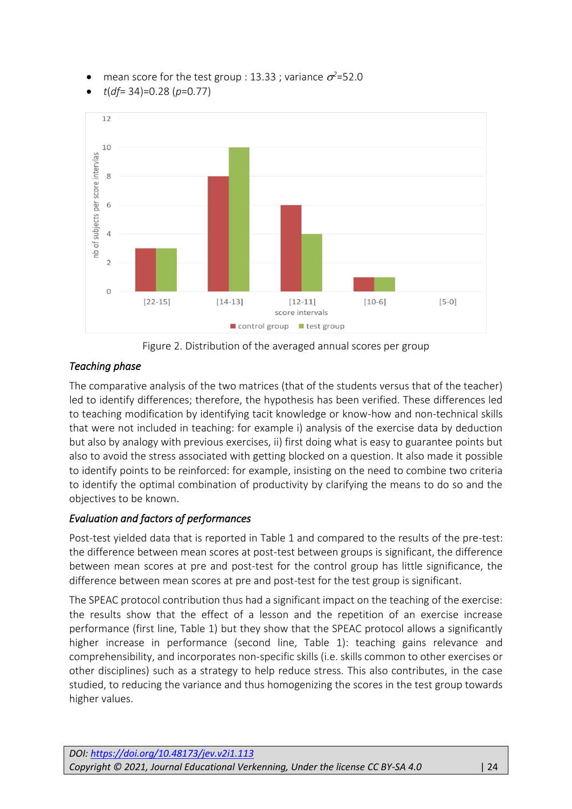- mean score for the test group : 13.33 ; variance  $\sigma^2$ =52.0
- *t*(*df*= 34)=0.28 (*p*=0.77)



Figure 2. Distribution of the averaged annual scores per group

# *Teaching phase*

The comparative analysis of the two matrices (that of the students versus that of the teacher) led to identify differences; therefore, the hypothesis has been verified. These differences led to teaching modification by identifying tacit knowledge or know-how and non-technical skills that were not included in teaching: for example i) analysis of the exercise data by deduction but also by analogy with previous exercises, ii) first doing what is easy to guarantee points but also to avoid the stress associated with getting blocked on a question. It also made it possible to identify points to be reinforced: for example, insisting on the need to combine two criteria to identify the optimal combination of productivity by clarifying the means to do so and the objectives to be known.

# *Evaluation and factors of performances*

Post-test yielded data that is reported in Table 1 and compared to the results of the pre-test: the difference between mean scores at post-test between groups is significant, the difference between mean scores at pre and post-test for the control group has little significance, the difference between mean scores at pre and post-test for the test group is significant.

The SPEAC protocol contribution thus had a significant impact on the teaching of the exercise: the results show that the effect of a lesson and the repetition of an exercise increase performance (first line, Table 1) but they show that the SPEAC protocol allows a significantly higher increase in performance (second line, Table 1): teaching gains relevance and comprehensibility, and incorporates non-specific skills (i.e. skills common to other exercises or other disciplines) such as a strategy to help reduce stress. This also contributes, in the case studied, to reducing the variance and thus homogenizing the scores in the test group towards higher values.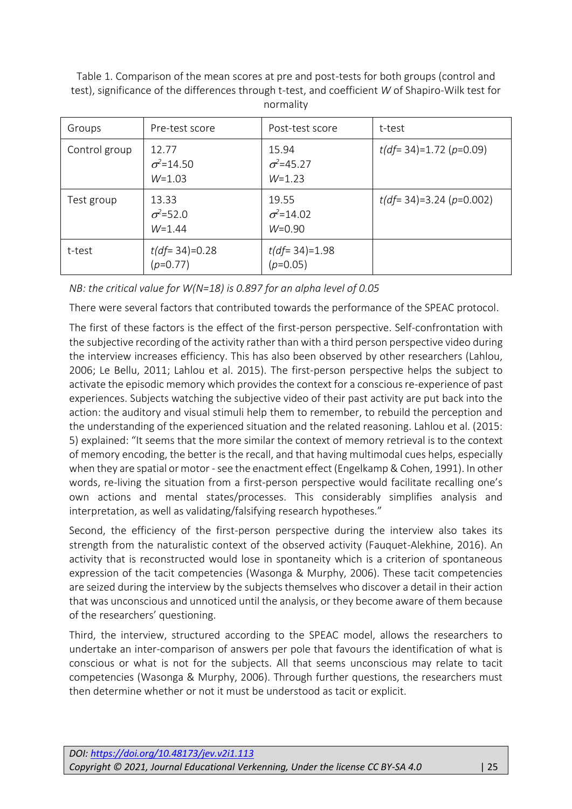Table 1. Comparison of the mean scores at pre and post-tests for both groups (control and test), significance of the differences through t-test, and coefficient *W* of Shapiro-Wilk test for normality

| Groups        | Pre-test score                          | Post-test score                         | t-test                     |
|---------------|-----------------------------------------|-----------------------------------------|----------------------------|
| Control group | 12.77<br>$\sigma^2 = 14.50$<br>$W=1.03$ | 15.94<br>$\sigma^2 = 45.27$<br>$W=1.23$ | $t(df=34)=1.72(p=0.09)$    |
| Test group    | 13.33<br>$\sigma^2 = 52.0$<br>$W=1.44$  | 19.55<br>$\sigma^2 = 14.02$<br>$W=0.90$ | $t(df= 34)=3.24 (p=0.002)$ |
| t-test        | $t(df=34)=0.28$<br>$(p=0.77)$           | $t(df=34)=1.98$<br>$(p=0.05)$           |                            |

*NB: the critical value for W(N=18) is 0.897 for an alpha level of 0.05*

There were several factors that contributed towards the performance of the SPEAC protocol.

The first of these factors is the effect of the first-person perspective. Self-confrontation with the subjective recording of the activity rather than with a third person perspective video during the interview increases efficiency. This has also been observed by other researchers (Lahlou, 2006; Le Bellu, 2011; Lahlou et al. 2015). The first-person perspective helps the subject to activate the episodic memory which provides the context for a conscious re-experience of past experiences. Subjects watching the subjective video of their past activity are put back into the action: the auditory and visual stimuli help them to remember, to rebuild the perception and the understanding of the experienced situation and the related reasoning. Lahlou et al. (2015: 5) explained: "It seems that the more similar the context of memory retrieval is to the context of memory encoding, the better is the recall, and that having multimodal cues helps, especially when they are spatial or motor - see the enactment effect (Engelkamp & Cohen, 1991). In other words, re-living the situation from a first-person perspective would facilitate recalling one's own actions and mental states/processes. This considerably simplifies analysis and interpretation, as well as validating/falsifying research hypotheses."

Second, the efficiency of the first-person perspective during the interview also takes its strength from the naturalistic context of the observed activity (Fauquet-Alekhine, 2016). An activity that is reconstructed would lose in spontaneity which is a criterion of spontaneous expression of the tacit competencies (Wasonga & Murphy, 2006). These tacit competencies are seized during the interview by the subjects themselves who discover a detail in their action that was unconscious and unnoticed until the analysis, or they become aware of them because of the researchers' questioning.

Third, the interview, structured according to the SPEAC model, allows the researchers to undertake an inter-comparison of answers per pole that favours the identification of what is conscious or what is not for the subjects. All that seems unconscious may relate to tacit competencies (Wasonga & Murphy, 2006). Through further questions, the researchers must then determine whether or not it must be understood as tacit or explicit.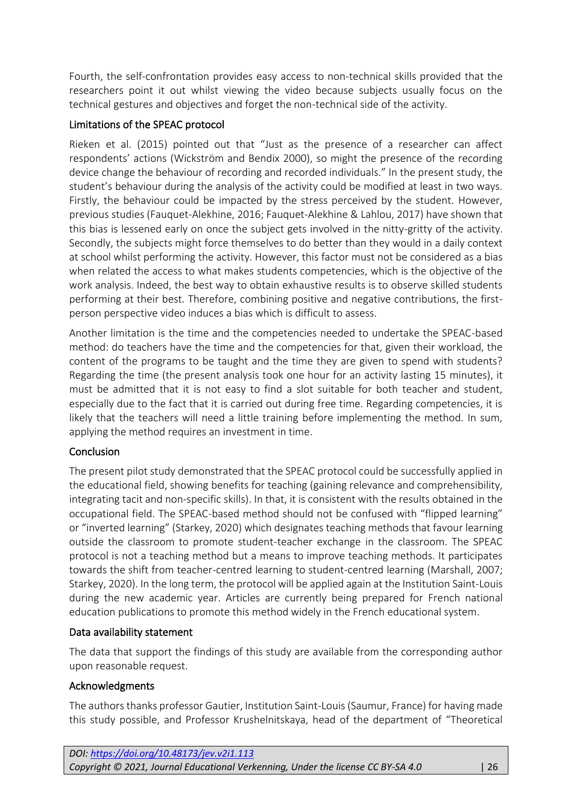Fourth, the self-confrontation provides easy access to non-technical skills provided that the researchers point it out whilst viewing the video because subjects usually focus on the technical gestures and objectives and forget the non-technical side of the activity.

### Limitations of the SPEAC protocol

Rieken et al. (2015) pointed out that "Just as the presence of a researcher can affect respondents' actions (Wickström and Bendix 2000), so might the presence of the recording device change the behaviour of recording and recorded individuals." In the present study, the student's behaviour during the analysis of the activity could be modified at least in two ways. Firstly, the behaviour could be impacted by the stress perceived by the student. However, previous studies (Fauquet-Alekhine, 2016; Fauquet-Alekhine & Lahlou, 2017) have shown that this bias is lessened early on once the subject gets involved in the nitty-gritty of the activity. Secondly, the subjects might force themselves to do better than they would in a daily context at school whilst performing the activity. However, this factor must not be considered as a bias when related the access to what makes students competencies, which is the objective of the work analysis. Indeed, the best way to obtain exhaustive results is to observe skilled students performing at their best. Therefore, combining positive and negative contributions, the firstperson perspective video induces a bias which is difficult to assess.

Another limitation is the time and the competencies needed to undertake the SPEAC-based method: do teachers have the time and the competencies for that, given their workload, the content of the programs to be taught and the time they are given to spend with students? Regarding the time (the present analysis took one hour for an activity lasting 15 minutes), it must be admitted that it is not easy to find a slot suitable for both teacher and student, especially due to the fact that it is carried out during free time. Regarding competencies, it is likely that the teachers will need a little training before implementing the method. In sum, applying the method requires an investment in time.

### **Conclusion**

The present pilot study demonstrated that the SPEAC protocol could be successfully applied in the educational field, showing benefits for teaching (gaining relevance and comprehensibility, integrating tacit and non-specific skills). In that, it is consistent with the results obtained in the occupational field. The SPEAC-based method should not be confused with "flipped learning" or "inverted learning" (Starkey, 2020) which designates teaching methods that favour learning outside the classroom to promote student-teacher exchange in the classroom. The SPEAC protocol is not a teaching method but a means to improve teaching methods. It participates towards the shift from teacher-centred learning to student-centred learning (Marshall, 2007; Starkey, 2020). In the long term, the protocol will be applied again at the Institution Saint-Louis during the new academic year. Articles are currently being prepared for French national education publications to promote this method widely in the French educational system.

### Data availability statement

The data that support the findings of this study are available from the corresponding author upon reasonable request.

### Acknowledgments

The authors thanks professor Gautier, Institution Saint-Louis (Saumur, France) for having made this study possible, and Professor Krushelnitskaya, head of the department of "Theoretical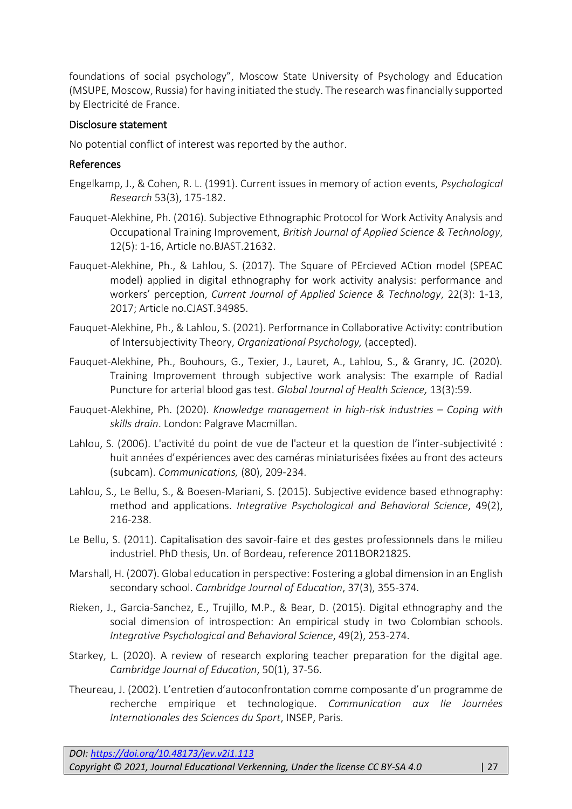foundations of social psychology", Moscow State University of Psychology and Education (MSUPE, Moscow, Russia) for having initiated the study. The research was financially supported by Electricité de France.

#### Disclosure statement

No potential conflict of interest was reported by the author.

#### References

- Engelkamp, J., & Cohen, R. L. (1991). Current issues in memory of action events, *Psychological Research* 53(3), 175-182.
- Fauquet-Alekhine, Ph. (2016). Subjective Ethnographic Protocol for Work Activity Analysis and Occupational Training Improvement, *British Journal of Applied Science & Technology*, 12(5): 1-16, Article no.BJAST.21632.
- Fauquet-Alekhine, Ph., & Lahlou, S. (2017). The Square of PErcieved ACtion model (SPEAC model) applied in digital ethnography for work activity analysis: performance and workers' perception, *Current Journal of Applied Science & Technology*, 22(3): 1-13, 2017; Article no.CJAST.34985.
- Fauquet-Alekhine, Ph., & Lahlou, S. (2021). Performance in Collaborative Activity: contribution of Intersubjectivity Theory, *Organizational Psychology,* (accepted).
- Fauquet-Alekhine, Ph., Bouhours, G., Texier, J., Lauret, A., Lahlou, S., & Granry, JC. (2020). Training Improvement through subjective work analysis: The example of Radial Puncture for arterial blood gas test. *Global Journal of Health Science,* 13(3):59.
- Fauquet-Alekhine, Ph. (2020). *Knowledge management in high-risk industries – Coping with skills drain*. London: Palgrave Macmillan.
- Lahlou, S. (2006). L'activité du point de vue de l'acteur et la question de l'inter-subjectivité : huit années d'expériences avec des caméras miniaturisées fixées au front des acteurs (subcam). *Communications,* (80), 209-234.
- Lahlou, S., Le Bellu, S., & Boesen-Mariani, S. (2015). Subjective evidence based ethnography: method and applications. *Integrative Psychological and Behavioral Science*, 49(2), 216-238.
- Le Bellu, S. (2011). Capitalisation des savoir-faire et des gestes professionnels dans le milieu industriel. PhD thesis, Un. of Bordeau, reference 2011BOR21825.
- Marshall, H. (2007). Global education in perspective: Fostering a global dimension in an English secondary school. *Cambridge Journal of Education*, 37(3), 355-374.
- Rieken, J., Garcia-Sanchez, E., Trujillo, M.P., & Bear, D. (2015). Digital ethnography and the social dimension of introspection: An empirical study in two Colombian schools. *Integrative Psychological and Behavioral Science*, 49(2), 253-274.
- Starkey, L. (2020). A review of research exploring teacher preparation for the digital age. *Cambridge Journal of Education*, 50(1), 37-56.
- Theureau, J. (2002). L'entretien d'autoconfrontation comme composante d'un programme de recherche empirique et technologique. *Communication aux IIe Journées Internationales des Sciences du Sport*, INSEP, Paris.

*DOI: <https://doi.org/10.48173/jev.v2i1.113> Copyright © 2021, Journal Educational Verkenning, Under the license CC BY-SA 4.0* | 27